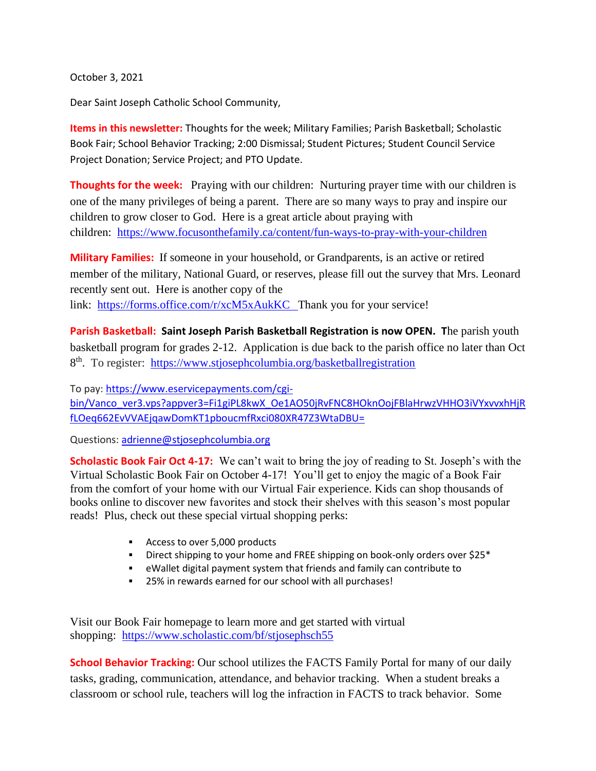October 3, 2021

Dear Saint Joseph Catholic School Community,

**Items in this newsletter:** Thoughts for the week; Military Families; Parish Basketball; Scholastic Book Fair; School Behavior Tracking; 2:00 Dismissal; Student Pictures; Student Council Service Project Donation; Service Project; and PTO Update.

**Thoughts for the week:**Praying with our children: Nurturing prayer time with our children is one of the many privileges of being a parent. There are so many ways to pray and inspire our children to grow closer to God. Here is a great article about praying with children: <https://www.focusonthefamily.ca/content/fun-ways-to-pray-with-your-children>

**Military Families:** If someone in your household, or Grandparents, is an active or retired member of the military, National Guard, or reserves, please fill out the survey that Mrs. Leonard recently sent out. Here is another copy of the link: <https://forms.office.com/r/xcM5xAukKC> Thank you for your service!

**Parish Basketball: Saint Joseph Parish Basketball Registration is now OPEN. T**he parish youth basketball program for grades 2-12. Application is due back to the parish office no later than Oct 8<sup>th</sup>. To register: <https://www.stjosephcolumbia.org/basketballregistration>

To pay: [https://www.eservicepayments.com/cgi](https://www.eservicepayments.com/cgi-bin/Vanco_ver3.vps?appver3=Fi1giPL8kwX_Oe1AO50jRvFNC8HOknOojFBlaHrwzVHHO3iVYxvvxhHjRfLOeq662EvVVAEjqawDomKT1pboucmfRxci080XR47Z3WtaDBU=)[bin/Vanco\\_ver3.vps?appver3=Fi1giPL8kwX\\_Oe1AO50jRvFNC8HOknOojFBlaHrwzVHHO3iVYxvvxhHjR](https://www.eservicepayments.com/cgi-bin/Vanco_ver3.vps?appver3=Fi1giPL8kwX_Oe1AO50jRvFNC8HOknOojFBlaHrwzVHHO3iVYxvvxhHjRfLOeq662EvVVAEjqawDomKT1pboucmfRxci080XR47Z3WtaDBU=) [fLOeq662EvVVAEjqawDomKT1pboucmfRxci080XR47Z3WtaDBU=](https://www.eservicepayments.com/cgi-bin/Vanco_ver3.vps?appver3=Fi1giPL8kwX_Oe1AO50jRvFNC8HOknOojFBlaHrwzVHHO3iVYxvvxhHjRfLOeq662EvVVAEjqawDomKT1pboucmfRxci080XR47Z3WtaDBU=)

Questions: [adrienne@stjosephcolumbia.org](mailto:adrienne@stjosephcolumbia.org)

**Scholastic Book Fair Oct 4-17:** We can't wait to bring the joy of reading to St. Joseph's with the Virtual Scholastic Book Fair on October 4-17! You'll get to enjoy the magic of a Book Fair from the comfort of your home with our Virtual Fair experience. Kids can shop thousands of books online to discover new favorites and stock their shelves with this season's most popular reads! Plus, check out these special virtual shopping perks:

- Access to over 5,000 products
- **EXECT:** Direct shipping to your home and FREE shipping on book-only orders over \$25\*
- eWallet digital payment system that friends and family can contribute to
- 25% in rewards earned for our school with all purchases!

Visit our Book Fair homepage to learn more and get started with virtual shopping: <https://www.scholastic.com/bf/stjosephsch55>

**School Behavior Tracking:** Our school utilizes the FACTS Family Portal for many of our daily tasks, grading, communication, attendance, and behavior tracking. When a student breaks a classroom or school rule, teachers will log the infraction in FACTS to track behavior. Some